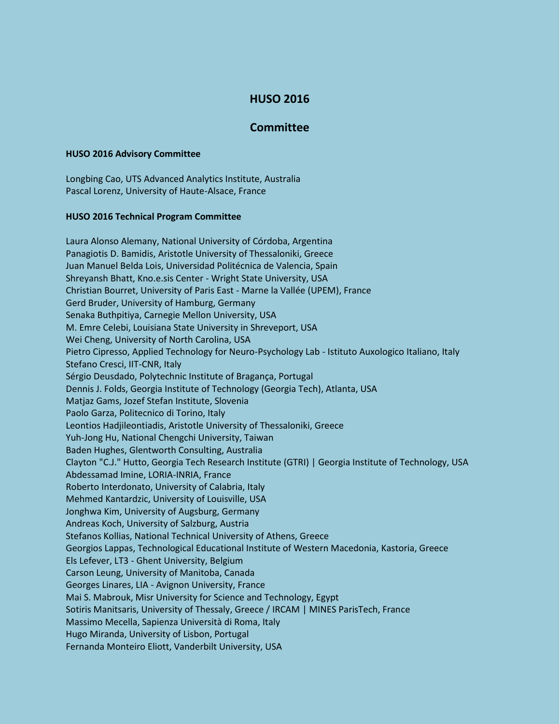## **HUSO 2016**

## **Committee**

## **HUSO 2016 Advisory Committee**

Longbing Cao, UTS Advanced Analytics Institute, Australia Pascal Lorenz, University of Haute-Alsace, France

## **HUSO 2016 Technical Program Committee**

Laura Alonso Alemany, National University of Córdoba, Argentina Panagiotis D. Bamidis, Aristotle University of Thessaloniki, Greece Juan Manuel Belda Lois, Universidad Politécnica de Valencia, Spain Shreyansh Bhatt, Kno.e.sis Center - Wright State University, USA Christian Bourret, University of Paris East - Marne la Vallée (UPEM), France Gerd Bruder, University of Hamburg, Germany Senaka Buthpitiya, Carnegie Mellon University, USA M. Emre Celebi, Louisiana State University in Shreveport, USA Wei Cheng, University of North Carolina, USA Pietro Cipresso, Applied Technology for Neuro-Psychology Lab - Istituto Auxologico Italiano, Italy Stefano Cresci, IIT-CNR, Italy Sérgio Deusdado, Polytechnic Institute of Bragança, Portugal Dennis J. Folds, Georgia Institute of Technology (Georgia Tech), Atlanta, USA Matjaz Gams, Jozef Stefan Institute, Slovenia Paolo Garza, Politecnico di Torino, Italy Leontios Hadjileontiadis, Aristotle University of Thessaloniki, Greece Yuh-Jong Hu, National Chengchi University, Taiwan Baden Hughes, Glentworth Consulting, Australia Clayton "C.J." Hutto, Georgia Tech Research Institute (GTRI) | Georgia Institute of Technology, USA Abdessamad Imine, LORIA-INRIA, France Roberto Interdonato, University of Calabria, Italy Mehmed Kantardzic, University of Louisville, USA Jonghwa Kim, University of Augsburg, Germany Andreas Koch, University of Salzburg, Austria Stefanos Kollias, National Technical University of Athens, Greece Georgios Lappas, Technological Educational Institute of Western Macedonia, Kastoria, Greece Els Lefever, LT3 - Ghent University, Belgium Carson Leung, University of Manitoba, Canada Georges Linares, LIA - Avignon University, France Mai S. Mabrouk, Misr University for Science and Technology, Egypt Sotiris Manitsaris, University of Thessaly, Greece / IRCAM | MINES ParisTech, France Massimo Mecella, Sapienza Università di Roma, Italy Hugo Miranda, University of Lisbon, Portugal Fernanda Monteiro Eliott, Vanderbilt University, USA